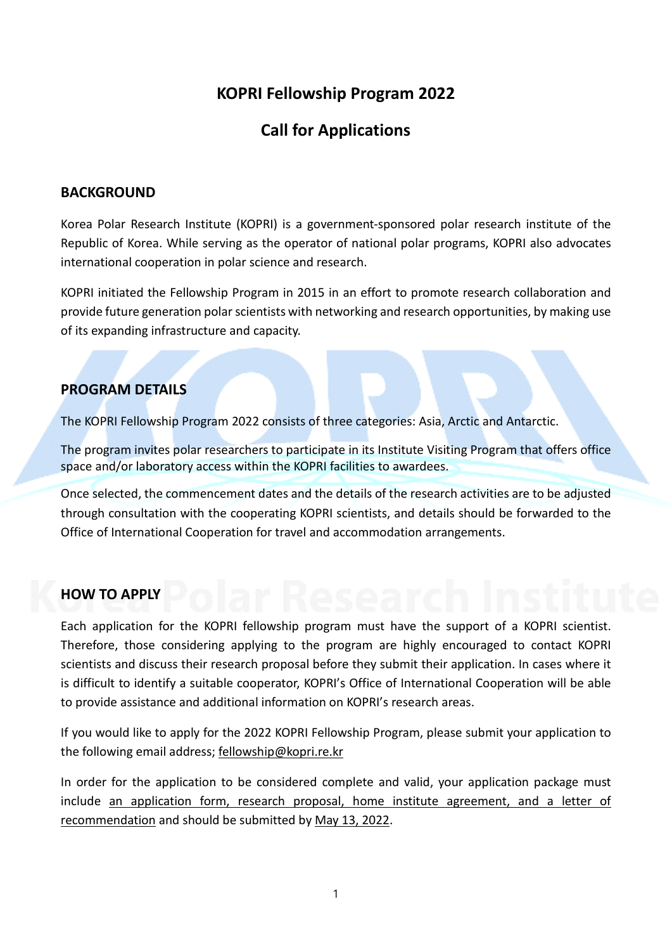# **KOPRI Fellowship Program 2022**

# **Call for Applications**

### **BACKGROUND**

Korea Polar Research Institute (KOPRI) is a government-sponsored polar research institute of the Republic of Korea. While serving as the operator of national polar programs, KOPRI also advocates international cooperation in polar science and research.

KOPRI initiated the Fellowship Program in 2015 in an effort to promote research collaboration and provide future generation polar scientists with networking and research opportunities, by making use of its expanding infrastructure and capacity.

## **PROGRAM DETAILS**

The KOPRI Fellowship Program 2022 consists of three categories: Asia, Arctic and Antarctic.

The program invites polar researchers to participate in its Institute Visiting Program that offers office space and/or laboratory access within the KOPRI facilities to awardees.

Once selected, the commencement dates and the details of the research activities are to be adjusted through consultation with the cooperating KOPRI scientists, and details should be forwarded to the Office of International Cooperation for travel and accommodation arrangements.

## **HOW TO APPLY**

Each application for the KOPRI fellowship program must have the support of a KOPRI scientist. Therefore, those considering applying to the program are highly encouraged to contact KOPRI scientists and discuss their research proposal before they submit their application. In cases where it is difficult to identify a suitable cooperator, KOPRI's Office of International Cooperation will be able to provide assistance and additional information on KOPRI's research areas.

If you would like to apply for the 2022 KOPRI Fellowship Program, please submit your application to the following email address; [fellowship@kopri.re.kr](mailto:fellowship@kopri.re.kr)

In order for the application to be considered complete and valid, your application package must include an application form, research proposal, home institute agreement, and a letter of recommendation and should be submitted by May 13, 2022.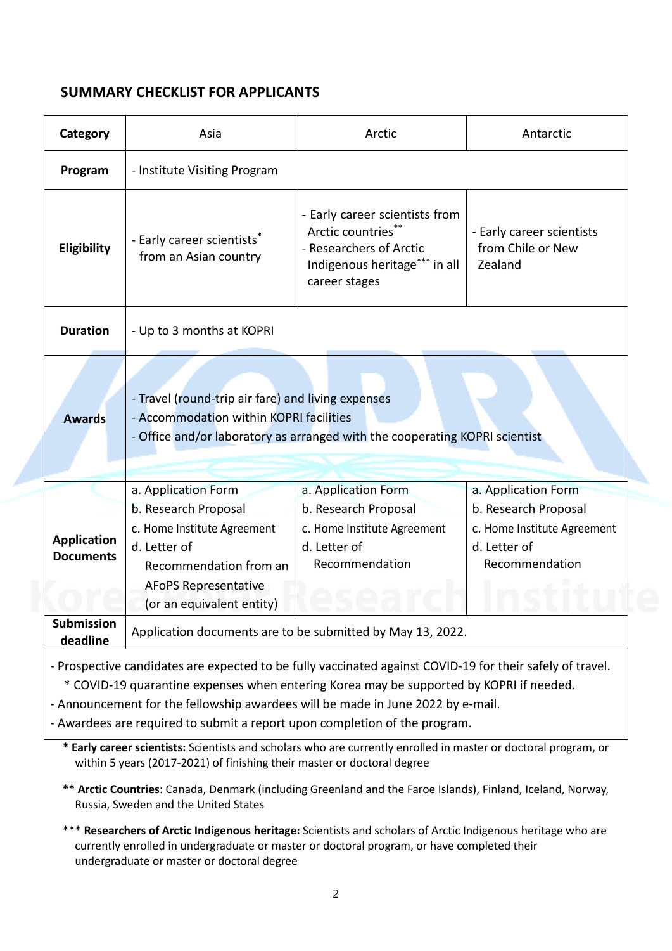## **SUMMARY CHECKLIST FOR APPLICANTS**

| Category                                                                                                                                                                                                                                                                                                                                                                                                                                                                                 | Asia                                                                                                                                                                             | Arctic                                                                                                                            | Antarctic                                                                                                    |
|------------------------------------------------------------------------------------------------------------------------------------------------------------------------------------------------------------------------------------------------------------------------------------------------------------------------------------------------------------------------------------------------------------------------------------------------------------------------------------------|----------------------------------------------------------------------------------------------------------------------------------------------------------------------------------|-----------------------------------------------------------------------------------------------------------------------------------|--------------------------------------------------------------------------------------------------------------|
| Program                                                                                                                                                                                                                                                                                                                                                                                                                                                                                  | - Institute Visiting Program                                                                                                                                                     |                                                                                                                                   |                                                                                                              |
| Eligibility                                                                                                                                                                                                                                                                                                                                                                                                                                                                              | - Early career scientists*<br>from an Asian country                                                                                                                              | - Early career scientists from<br>Arctic countries**<br>- Researchers of Arctic<br>Indigenous heritage*** in all<br>career stages | - Early career scientists<br>from Chile or New<br>Zealand                                                    |
| <b>Duration</b>                                                                                                                                                                                                                                                                                                                                                                                                                                                                          | - Up to 3 months at KOPRI                                                                                                                                                        |                                                                                                                                   |                                                                                                              |
| <b>Awards</b>                                                                                                                                                                                                                                                                                                                                                                                                                                                                            | - Travel (round-trip air fare) and living expenses<br>- Accommodation within KOPRI facilities<br>- Office and/or laboratory as arranged with the cooperating KOPRI scientist     |                                                                                                                                   |                                                                                                              |
| <b>Application</b><br><b>Documents</b>                                                                                                                                                                                                                                                                                                                                                                                                                                                   | a. Application Form<br>b. Research Proposal<br>c. Home Institute Agreement<br>d. Letter of<br>Recommendation from an<br><b>AFoPS Representative</b><br>(or an equivalent entity) | a. Application Form<br>b. Research Proposal<br>c. Home Institute Agreement<br>d. Letter of<br>Recommendation                      | a. Application Form<br>b. Research Proposal<br>c. Home Institute Agreement<br>d. Letter of<br>Recommendation |
| Submission<br>deadline                                                                                                                                                                                                                                                                                                                                                                                                                                                                   | Application documents are to be submitted by May 13, 2022.                                                                                                                       |                                                                                                                                   |                                                                                                              |
| - Prospective candidates are expected to be fully vaccinated against COVID-19 for their safely of travel.<br>* COVID-19 quarantine expenses when entering Korea may be supported by KOPRI if needed.<br>- Announcement for the fellowship awardees will be made in June 2022 by e-mail.<br>- Awardees are required to submit a report upon completion of the program.<br>* Early career scientists: Scientists and scholars who are currently enrolled in master or doctoral program, or |                                                                                                                                                                                  |                                                                                                                                   |                                                                                                              |

within 5 years (2017-2021) of finishing their master or doctoral degree

**\*\* Arctic Countries**: Canada, Denmark (including Greenland and the Faroe Islands), Finland, Iceland, Norway, Russia, Sweden and the United States

\*\*\* **Researchers of Arctic Indigenous heritage:** Scientists and scholars of Arctic Indigenous heritage who are currently enrolled in undergraduate or master or doctoral program, or have completed their undergraduate or master or doctoral degree